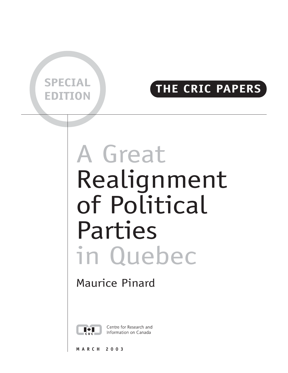

## **EDITION THE CRIC PAPERS**

# A Great Realignment of Political Parties in Quebec

## Maurice Pinard



Centre for Research and Information on Canada

**MARCH 2003**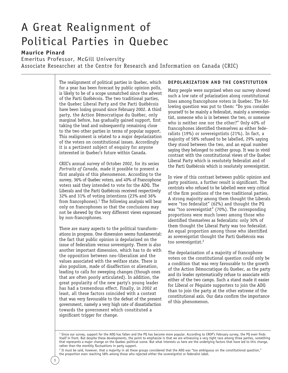## A Great Realignment of Political Parties in Quebec

#### **Maurice Pinard**

Emeritus Professor, McGill University Associate Researcher at the Centre for Research and Information on Canada (CRIC)

> The realignment of political parties in Quebec, which for a year has been forecast by public opinion polls, is likely to be of a scope unmatched since the advent of the Parti Québécois. The two traditional parties, the Quebec Liberal Party and the Parti Québécois have been losing ground since February 2002. A third party, the Action Démocratique du Québec, only marginal before, has gradually gained support, first taking the lead and subsequently remaining close to the two other parties in terms of popular support. This realignment is related to a major depolarization of the voters on constitutional issues. Accordingly it is a pertinent subject of enquiry for anyone interested in Quebec's future within Canada.

> CRIC's annual survey of October 2002, for its series *Portraits of Canada*, made it possible to present a first analysis of this phenomenon. According to the survey, 36% of Quebec voters, and 40% of Francophone voters said they intended to vote for the ADQ. The Liberals and the Parti Québécois received respectively 32% and 31% of voting intentions (23% and 36% from francophones). $1$  The following analysis will bear only on francophones so that the conclusions may not be skewed by the very different views expressed by non-francophones.

> There are many aspects to the political transformations in progress. One dimension seems fundamental: the fact that public opinion is depolarized on the issue of federalism versus sovereignty. There is also another important dimension, which has to do with the opposition between neo-liberalism and the values associated with the welfare state. There is also populism, made of disaffection or alienation, leading to calls for sweeping changes (though ones that are often poorly articulated). In addition, the great popularity of the new party's young leader has had a tremendous effect. Finally, in 2002 at least, all these factors coincided with a context that was very favourable to the defeat of the present government, namely a very high rate of dissatisfaction towards the government which constituted a significant trigger for change.

#### **DEPOLARIZATION AND THE CONSTITUTION**

Many people were surprised when our survey showed such a low rate of polarization along constitutional lines among francophone voters in Quebec. The following question was put to them: "Do you consider yourself to be mainly a federalist, mainly a sovereigntist, someone who is in between the two, or someone who is neither one nor the other?" Only 40% of francophones identified themselves as either federalists (19%) or sovereigntists (21%). In fact, a majority of 58% refused to be labelled, 29% saying they stood between the two, and an equal number saying they belonged to neither group. It was in vivid contrast with the constitutional views of the Quebec Liberal Party which is resolutely federalist and of the Parti Québécois which is resolutely sovereigntist.

In view of this contrast between public opinion and party positions, a further result is significant. The centrists who refused to be labelled were very critical of the firm positions of the two traditional parties. A strong majority among them thought the Liberals were "too federalist" (62%) and thought the PQ was "too sovereigntist" (70%). The corresponding proportions were much lower among those who identified themselves as federalists: only 30% of them thought the Liberal Party was too federalist. An equal proportion among those who identified as sovereigntist thought the Parti Québécois was too sovereigntist.<sup>2</sup>

The depolarization of a majority of francophone voters on the constitutional question could only be a condition that was very favourable to the growth of the Action Démocratique du Quebec, as the party and its leader systematically refuse to associate with either of the two camps. Such a stand made it easier for Liberal or Péquiste supporters to join the ADQ than to join the party at the other extreme of the constitutional axis. Our data confirm the importance of this phenomenon.

<sup>&</sup>lt;sup>1</sup> Since our survey, support for the ADQ has fallen and the PQ has become more popular. According to CROP's February survey, the PQ even finds itself in front. But despite these developments, the point to emphasize is that we are witnessing a very tight race among three parties, something that represents a major change on the Quebec political scene. But what interests us here are the underlying factors that have led to this change, rather than the monthly fluctuations in party support.

<sup>&</sup>lt;sup>2</sup> It must be said, however, that a majority in all these groups considered that the ADQ was "too ambiguous on the constitutional question," the proportion even reaching 58% among those who rejected either the sovereigntist or federalist label.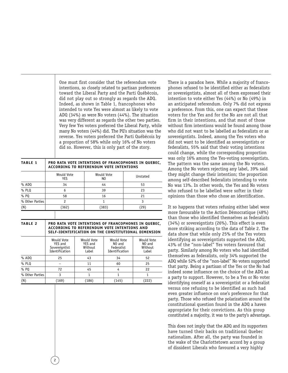One must first consider that the referendum vote intentions, so closely related to partisan preferences toward the Liberal Party and the Parti Québécois, did not play out so strongly as regards the ADQ. Indeed, as shown in Table 1, francophones who intended to vote Yes were almost as likely to vote ADQ (34%) as were No voters (44%). The situation was very different as regards the other two parties. Very few Yes voters preferred the Liberal Party, while many No voters (44%) did. The PQ's situation was the reverse. Yes voters preferred the Parti Québécois by a proportion of 58% while only 16% of No voters did so. However, this is only part of the story.

| <b>TABLE 1</b> | PRO RATA VOTE INTENTIONS OF FRANCOPHONES IN QUEBEC,<br>ACCORDING TO REFERENDUM VOTE INTENTIONS |
|----------------|------------------------------------------------------------------------------------------------|
|----------------|------------------------------------------------------------------------------------------------|

|                 | Would Vote<br><b>YES</b> | Would Vote<br>NO | Unstated |
|-----------------|--------------------------|------------------|----------|
| % ADQ           | 34                       | 44               | 53       |
| % PLQ           |                          | 39               | 23       |
| $%$ PQ          | 58                       | 16               | 21       |
| % Other Parties |                          |                  |          |
| (N)             | (362)                    | (383)            | (29)     |
|                 |                          |                  |          |

**TABLE 2 PRO RATA VOTE INTENTIONS OF FRANCOPHONES IN QUEBEC, ACCORDING TO REFERENDUM VOTE INTENTIONS AND SELF-IDENTIFICATION ON THE CONSTITUTIONAL DIMENSION**

|                 | Would Vote<br>YES and<br>Sovereigntist<br>Identification | Would Vote<br><b>YES</b> and<br>Without<br>Label | Would Vote<br>NO and<br>Federalist<br>Identification | Would Vote<br>NO and<br>Without<br>Label |
|-----------------|----------------------------------------------------------|--------------------------------------------------|------------------------------------------------------|------------------------------------------|
| $%$ ADQ         | 25                                                       | 43                                               | 34                                                   | 52                                       |
| $%$ PLO         |                                                          | 11                                               | 60                                                   | 25                                       |
| $%$ PQ          | 72                                                       | 45                                               | 4                                                    | 22                                       |
| % Other Parties | 3                                                        |                                                  |                                                      |                                          |
| (N)             | (169)                                                    | (186)                                            | (145)                                                | 222                                      |

There is a paradox here. While a majority of francophones refused to be identified either as federalists or sovereigntists, almost all of them expressed their intention to vote either Yes (44%) or No (49%) in an anticipated referendum. Only 7% did not express a preference. From this, one can expect that these voters for the Yes and for the No are not all that firm in their intentions, and that most of those without firm intentions would be found among those who did not want to be labelled as federalists or as sovereigntists. Indeed, among the Yes voters who did not want to be identified as sovereigntists or federalists, 55% said that their voting intentions could change, while the corresponding proportion was only 16% among the Yes-voting sovereigntists. The pattern was the same among the No voters. Among the No voters rejecting any label, 39% said they might change their intention; the proportion among self-described federalists intending to vote No was 13%. In other words, the Yes and No voters who refused to be labelled were softer in their opinions than those who chose an identification.

It so happens that voters refusing either label were more favourable to the Action Démocratique (48%) than those who identified themselves as federalists (34%) or sovereigntists (26%). This effect is even more striking according to the data of Table 2. The data show that while only 25% of the Yes voters identifying as sovereigntists supported the ADQ, 43% of the "non-label" Yes voters favoured that party. Similarly among No voters who had identified themselves as federalists, only 34% supported the ADQ while 52% of the "non-label" No voters supported that party. Being a partisan of the Yes or the No had indeed some influence on the choice of the ADQ as a party to support. However, to be a Yes or No voter identifying oneself as a sovereigntist or a federalist versus one refusing to be identified as such had even greater influence on one's preference for that party. Those who refused the polarization around the constitutional question found in the ADQ a haven appropriate for their convictions. As this group constituted a majority, it was to the party's advantage.

This does not imply that the ADQ and its supporters have turned their backs on traditional Quebec nationalism. After all, the party was founded in the wake of the Charlottetown accord by a group of dissident Liberals who favoured a very highly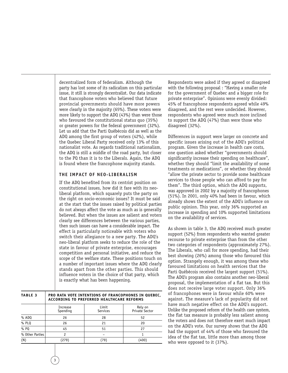decentralized form of federalism. Although the party has lost some of its radicalism on this particular issue, it still is strongly decentralist. Our data indicate that francophone voters who believed that future provincial governments should have more powers were clearly in the majority (65%). These voters were more likely to support the ADQ (43%) than were those who favoured the constitutional status quo (35%) or greater powers for the federal government (32%). Let us add that the Parti Québécois did as well as the ADQ among the first group of voters (42%), while the Quebec Liberal Party received only 13% of this nationalist vote. As regards traditional nationalism, the ADQ is still a middle of the road party, but closer to the PQ than it is to the Liberals. Again, the ADQ is found where the francophone majority stands.

#### **THE IMPACT OF NEO-LIBERALISM**

If the ADQ benefited from its centrist position on constitutional issues, how did it fare with its neoliberal platform, which squarely puts the party on the right on socio-economic issues? It must be said at the start that the issues raised by political parties do not always affect the vote as much as is generally believed. But when the issues are salient and voters clearly see differences between the various parties, then such issues can have a considerable impact. The effect is particularly noticeable with voters who switch their allegiance to a new party. The ADQ's neo-liberal platform seeks to reduce the role of the state in favour of private enterprise, encourages competition and personal initiative, and reduce the scope of the welfare state. These positions touch on a number of important issues where the ADQ clearly stands apart from the other parties. This should influence voters in the choice of that party, which is exactly what has been happening.

| TABLE <sub>3</sub> | PRO RATA VOTE INTENTIONS OF FRANCOPHONES IN QUEBEC,<br>ACCORDING TO PREFERRED HEALTHCARE REFORMS |                   |                           |  |
|--------------------|--------------------------------------------------------------------------------------------------|-------------------|---------------------------|--|
|                    | Increase<br>Spending                                                                             | Limit<br>Services | Rely on<br>Private Sector |  |
| $%$ ADQ            | 26                                                                                               | 28                | 52                        |  |
| $%$ PLO            | 26                                                                                               |                   | 20                        |  |

51 – (79)

27 1 (400) Respondents were asked if they agreed or disagreed with the following proposal : "Having a smaller role for the government of Quebec and a bigger role for private enterprise". Opinions were evenly divided: 45% of francophone respondents agreed while 49% disagreed, and the rest were undecided. However, respondents who agreed were much more inclined to support the ADQ (47%) than were those who disagreed (32%).

Differences in support were larger on concrete and specific issues arising out of the ADQ's political program. Given the increase in health care costs, one question asked whether "governments should significantly increase their spending on healthcare", whether they should "limit the availability of some treatments or medications", or whether they should "allow the private sector to provide some healthcare services to those people who can afford to pay for them". The third option, which the ADQ supports, was approved in 2002 by a majority of francophones (51%). In 2001, only 40% had been in favour, which already shows the extent of the ADQ's influence on public opinion. This year, only 36% supported an increase in spending and 10% supported limitations on the availability of services.

As shown in table 3, the ADQ received much greater support (52%) from respondents who wanted greater recourse to private enterprise than from the other two categories of respondents (approximately 27%). The Liberals, who call for more spending, had their best showing (26%) among those who favoured this option. Strangely enough, it was among these who favoured limitations on health services that the Parti Québécois received the largest support (51%). The ADQ's program also contains another neo-liberal proposal, the implementation of a flat tax. But this does not receive large voter support. Only 36% of francophones were in favour while 60% were against. The measure's lack of popularity did not have much negative effect on the ADQ's support. Unlike the proposed reform of the health care system, the flat tax measure is probably less salient among the voters and does not therefore exert much impact on the ADQ's vote. Our survey shows that the ADQ had the support of 44% of those who favoured the idea of the flat tax, little more than among those who were opposed to it (37%).

45 2 (279)

% PQ % Other Parties

(N)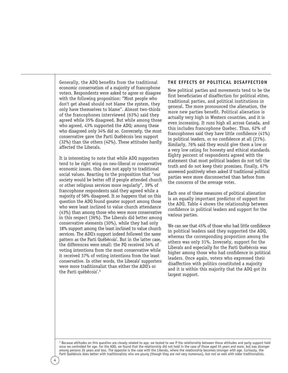Generally, the ADQ benefits from the traditional economic conservatism of a majority of francophone voters. Respondents were asked to agree or disagree with the following proposition: "Most people who don't get ahead should not blame the system, they only have themselves to blame". Almost two-thirds of the francophones interviewed (63%) said they agreed while 35% disagreed. But while among those who agreed, 43% supported the ADQ; among these who disagreed only 34% did so. Conversely, the most conservative gave the Parti Québécois less support (32%) than the others (42%). These attitudes hardly affected the Liberals.

It is interesting to note that while ADQ supporters tend to be right wing on neo-liberal or conservative economic issues, this does not apply to traditional social values. Reacting to the proposition that "our society would be better off if people attended church or other religious services more regularly", 39% of francophone respondents said they agreed while a majority of 58% disagreed. It so happens that on this question the ADQ found greater support among those who were least inclined to value church attendance (43%) than among those who were more conservative in this respect (36%). The Liberals did better among conservative elements (30%), while they had only 18% support among the least inclined to value church services. The ADQ's support indeed followed the same pattern as the Parti Québécois'. But in the latter case, the differences were small: the PQ received 34% of voting intentions from the most conservative while it received 37% of voting intentions from the least conservative. In other words, the Liberals' supporters were more traditionalist than either the ADQ's or the Parti québécois'.3

#### **THE EFFECTS OF POLITICAL DISAFFECTION**

New political parties and movements tend to be the first beneficiaries of disaffection for political elites, traditional parties, and political institutions in general. The more pronounced the alienation, the more new parties benefit. Political alienation is actually very high in Western countries, and it is even increasing. It runs high all across Canada, and this includes francophone Quebec. Thus, 62% of francophones said they have little confidence (41%) in political leaders, or no confidence at all (21%). Similarly, 76% said they would give them a low or a very low rating for honesty and ethical standards. Eighty percent of respondents agreed with the statement that most political leaders do not tell the truth and do not keep their promises. Finally, 67% answered positively when asked if traditional political parties were more disconnected than before from the concerns of the average voter.

Each one of these measures of political alienation is an equally important predictor of support for the ADQ. Table 4 shows the relationship between confidence in political leaders and support for the various parties.

We can see that 45% of those who had little confidence in political leaders said they supported the ADQ, whereas the corresponding proportion among the others was only 31%. Inversely, support for the Liberals and especially for the Parti Québécois was higher among those who had confidence in political leaders. Once again, voters who expressed their disaffection with politics constituted a majority and it is within this majority that the ADQ got its largest support.

<sup>3</sup> Because attitudes on this question are closely related to age, we tested to see if the relationship between those attitudes and party support held once we controlled for age. For the ADQ, we found that the relationship did not hold in the case of those aged 55 years and more, but was stronger among persons 35 years and less. The opposite is the case with the Liberals, where the relationship becomes stronger with age. Curiously, the Parti Québécois does better with traditionalists who are young (though they are not very numerous), but not so well with older traditionalists.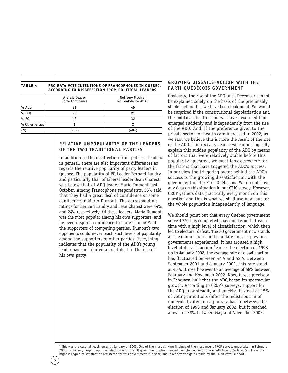| <b>TABLE 4</b>  | <b>PRO RATA VOTE INTENTIONS OF FRANCOPHONES IN QUEBEC,</b><br><b>ACCORDING TO DISAFFECTION FROM POLITICAL LEADERS</b> |                                          |  |
|-----------------|-----------------------------------------------------------------------------------------------------------------------|------------------------------------------|--|
|                 | A Great Deal or<br>Some Confidence                                                                                    | Not Very Much or<br>No Confidence At All |  |
| $%$ ADQ         | 31                                                                                                                    | 45                                       |  |
| $%$ PLO         | 26                                                                                                                    | 21                                       |  |
| $%$ PQ          | 42                                                                                                                    | 32                                       |  |
| % Other Parties |                                                                                                                       | 2                                        |  |
| (N)             | $282^\circ$                                                                                                           | 484                                      |  |

#### **RELATIVE UNPOPULARITY OF THE LEADERS OF THE TWO TRADITIONAL PARTIES**

In addition to the disaffection from political leaders in general, there are also important differences as regards the relative popularity of party leaders in Quebec. The popularity of PQ Leader Bernard Landry and particularly that of Liberal leader Jean Charest was below that of ADQ leader Mario Dumont last October. Among Francophone respondents, 56% said that they had a great deal of confidence or some confidence in Mario Dumont. The corresponding ratings for Bernard Landry and Jean Charest were 44% and 24% respectively. Of these leaders, Mario Dumont was the most popular among his own supporters, and he even inspired confidence to more than 40% of the supporters of competing parties. Dumont's two opponents could never reach such levels of popularity among the supporters of other parties. Everything indicates that the popularity of the ADQ's young leader has contributed a great deal to the rise of his own party.

#### **GROWING DISSATISFACTION WITH THE PARTI QUÉBÉCOIS GOVERNMENT**

Obviously, the rise of the ADQ until December cannot be explained solely on the basis of the presumably stable factors that we have been looking at. We would be surprised if the constitutional depolarization and the political disaffection we have described had emerged suddenly and independently from the rise of the ADQ. And, if the preference given to the private sector for health care increased in 2002, as we saw, we believe this is more the result of the rise of the ADQ than its cause. Since we cannot logically explain this sudden popularity of the ADQ by means of factors that were relatively stable before this popularity appeared, we must look elsewhere for the factors that have triggered the ADQ's success. In our view the triggering factor behind the ADQ's success is the growing dissatisfaction with the government of the Parti Québécois. We do not have any data on this situation in our CRIC survey. However, CROP gathers data practically every month on this question and this is what we shall use now, but for the whole population independently of language.

We should point out that every Quebec government since 1970 has completed a second term, but each time with a high level of dissatisfaction, which then led to electoral defeat. The PQ government now stands at the end of its second mandate and, as previous governments experienced, it has aroused a high level of dissatisfaction.<sup>4</sup> Since the election of 1998 up to January 2002, the average rate of dissatisfaction has fluctuated between 44% and 52%. Between September 2001 and January 2002, this rate stood at 45%. It rose however to an average of 58% between February and November 2002. Now, it was precisely in February 2002 that the ADQ began its spectacular growth. According to CROP's surveys, support for the ADQ grew steadily and quickly. It stood at 15% of voting intentions (after the redistribution of undecided voters on a pro rata basis) between the election of 1998 and January 2002, but it reached a level of 38% between May and November 2002.

<sup>4</sup> This was the case, at least, up until January of 2003. One of the most striking findings of the most recent CROP survey, undertaken in February 2003, is the very large jump in satisfaction with the PQ government, which moved over the course of one month from 36% to 47%. This is the highest degree of satisfaction registered for this government in a year, and it reflects the gains made by the PQ in voter support.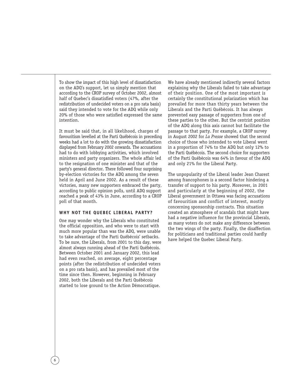To show the impact of this high level of dissatisfaction on the ADQ's support, let us simply mention that according to the CROP survey of October 2002, almost half of Quebec's dissatisfied voters (47%, after the redistribution of undecided voters on a pro rata basis) said they intended to vote for the ADQ while only 20% of those who were satisfied expressed the same intention.

It must be said that, in all likelihood, charges of favouritism levelled at the Parti Québécois in preceding weeks had a lot to do with the growing dissatisfaction displayed from February 2002 onwards. The accusations had to do with lobbying activities, which involved ministers and party organizers. The whole affair led to the resignation of one minister and that of the party's general director. There followed four surprising by-election victories for the ADQ among the seven held in April and June 2002. As a result of these victories, many new supporters embraced the party, according to public opinion polls, until ADQ support reached a peak of 43% in June, according to a CROP poll of that month.

#### **WHY NOT THE QUEBEC LIBERAL PARTY?**

One may wonder why the Liberals who constituted the official opposition, and who were to start with much more popular than was the ADQ, were unable to take advantage of the Parti Québécois' setbacks. To be sure, the Liberals, from 2001 to this day, were almost always running ahead of the Parti Québécois. Between October 2001 and January 2002, this lead had even reached, on average, eight percentage points (after the redistribution of undecided voters on a pro rata basis), and has prevailed most of the time since then. However, beginning in February 2002, both the Liberals and the Parti Québécois started to lose ground to the Action Démocratique.

We have already mentioned indirectly several factors explaining why the Liberals failed to take advantage of their position. One of the most important is certainly the constitutional polarization which has prevailed for more than thirty years between the Liberals and the Parti Québécois. It has always prevented easy passage of supporters from one of these parties to the other. But the centrist position of the ADQ along this axis cannot but facilitate the passage to that party. For example, a CROP survey in August 2002 for *La Presse* showed that the second choice of those who intended to vote Liberal went in a proportion of 74% to the ADQ but only 12% to the Parti Québécois. The second choice for supporters of the Parti Québécois was 64% in favour of the ADQ and only 21% for the Liberal Party.

The unpopularity of the Liberal leader Jean Charest among francophones is a second factor hindering a transfer of support to his party. Moreover, in 2001 and particularly at the beginning of 2002, the Liberal government in Ottawa was facing accusations of favouritism and conflict of interest, mostly concerning sponsorship contracts. This situation created an atmosphere of scandals that might have had a negative influence for the provincial Liberals, as many voters do not make any difference between the two wings of the party. Finally, the disaffection for politicians and traditional parties could hardly have helped the Quebec Liberal Party.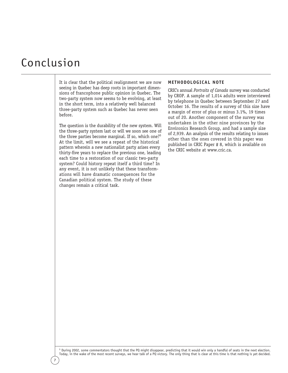## Conclusion

It is clear that the political realignment we are now seeing in Quebec has deep roots in important dimensions of francophone public opinion in Quebec. The two-party system now seems to be evolving, at least in the short term, into a relatively well balanced three-party system such as Quebec has never seen before.

The question is the durability of the new system. Will the three-party system last or will we soon see one of the three parties become marginal. If so, which one?<sup>5</sup> At the limit, will we see a repeat of the historical pattern wherein a new nationalist party arises every thirty-five years to replace the previous one, leading each time to a restoration of our classic two-party system? Could history repeat itself a third time? In any event, it is not unlikely that these transformations will have dramatic consequences for the Canadian political system. The study of these changes remain a critical task.

#### **METHODOLOGICAL NOTE**

CRIC's annual *Portraits of Canada* survey was conducted by CROP. A sample of 1,014 adults were interviewed by telephone in Quebec between September 27 and October 16. The results of a survey of this size have a margin of error of plus or minus 3.1%, 19 times out of 20. Another component of the survey was undertaken in the other nine provinces by the Environics Research Group, and had a sample size of 2,939. An analysis of the results relating to issues other than the ones covered in this paper was published in CRIC Paper # 8, which is available on the CRIC website at www.cric.ca.

<sup>5</sup> During 2002, some commentators thought that the PQ might disappear, predicting that it would win only a handful of seats in the next election. Today, in the wake of the most recent surveys, we hear talk of a PQ victory. The only thing that is clear at this time is that nothing is yet decided.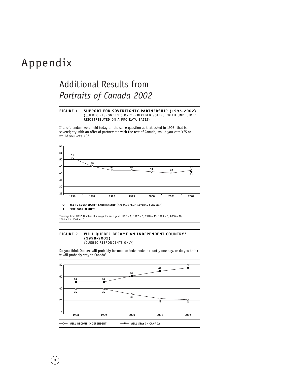### Appendix



8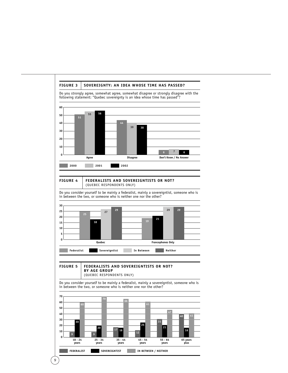